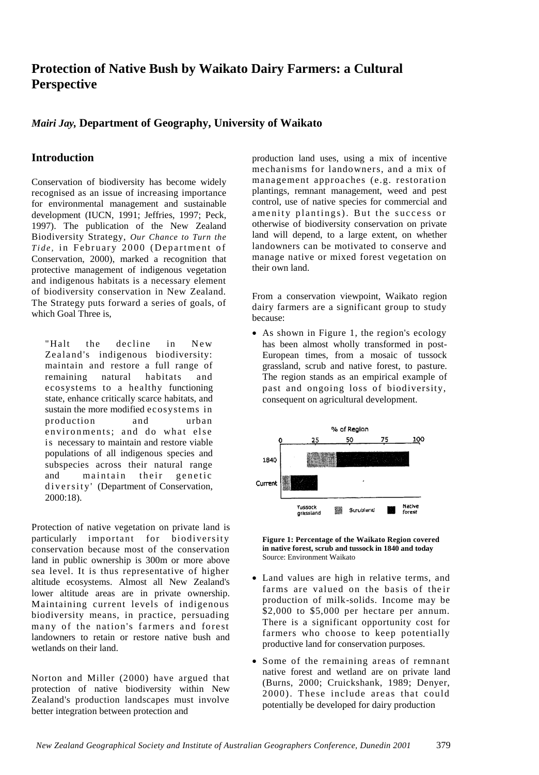# **Protection of Native Bush by Waikato Dairy Farmers: a Cultural Perspective**

## *Mairi Jay,* **Department of Geography, University of Waikato**

# **Introduction**

Conservation of biodiversity has become widely recognised as an issue of increasing importance for environmental management and sustainable development (IUCN, 1991; Jeffries, 1997; Peck, 1997). The publication of the New Zealand Biodiversity Strategy, *Our Chance to Turn the Tide*, in February 2000 (Department of Conservation, 2000), marked a recognition that protective management of indigenous vegetation and indigenous habitats is a necessary element of biodiversity conservation in New Zealand. The Strategy puts forward a series of goals, of which Goal Three is,

"Halt the decline in New Zealand's indigenous biodiversity: maintain and restore a full range of remaining natural habitats and ecosystems to a healthy functioning state, enhance critically scarce habitats, and sustain the more modified ecosystems in production and urban environments; and do what else is necessary to maintain and restore viable populations of all indigenous species and subspecies across their natural range and maintain their genetic diversity' (Department of Conservation, 2000:18).

Protection of native vegetation on private land is particularly important for biodiversity conservation because most of the conservation land in public ownership is 300m or more above sea level. It is thus representative of higher altitude ecosystems. Almost all New Zealand's lower altitude areas are in private ownership. Maintaining current levels of indigenous biodiversity means, in practice, persuading many of the nation's farmers and forest landowners to retain or restore native bush and wetlands on their land.

Norton and Miller (2000) have argued that protection of native biodiversity within New Zealand's production landscapes must involve better integration between protection and

production land uses, using a mix of incentive mechanisms for landowners, and a mix of management approaches (e.g. restoration plantings, remnant management, weed and pest control, use of native species for commercial and amenity plantings). But the success or otherwise of biodiversity conservation on private land will depend, to a large extent, on whether landowners can be motivated to conserve and manage native or mixed forest vegetation on their own land.

From a conservation viewpoint, Waikato region dairy farmers are a significant group to study because:

• As shown in Figure 1, the region's ecology has been almost wholly transformed in post-European times, from a mosaic of tussock grassland, scrub and native forest, to pasture. The region stands as an empirical example of past and ongoing loss of biodiversity, consequent on agricultural development.



**Figure 1: Percentage of the Waikato Region covered in native forest, scrub and tussock in 1840 and today**  Source: Environment Waikato

- Land values are high in relative terms, and farms are valued on the basis of their production of milk-solids. Income may be \$2,000 to \$5,000 per hectare per annum. There is a significant opportunity cost for farmers who choose to keep potentially productive land for conservation purposes.
- Some of the remaining areas of remnant native forest and wetland are on private land (Burns, 2000; Cruickshank, 1989; Denyer, 2000). These include areas that could potentially be developed for dairy production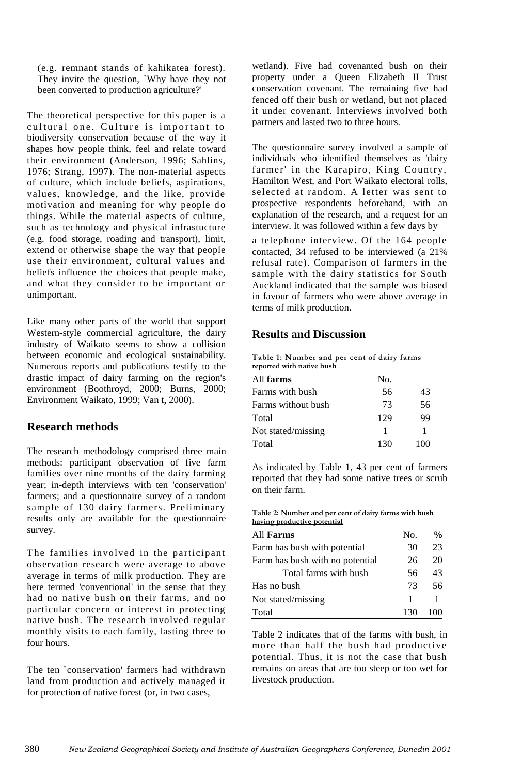(e.g. remnant stands of kahikatea forest). They invite the question, `Why have they not been converted to production agriculture?'

The theoretical perspective for this paper is a cultural one. Culture is important to biodiversity conservation because of the way it shapes how people think, feel and relate toward their environment (Anderson, 1996; Sahlins, 1976; Strang, 1997). The non-material aspects of culture, which include beliefs, aspirations, values, knowledge, and the like, provide motivation and meaning for why people do things. While the material aspects of culture, such as technology and physical infrastucture (e.g. food storage, roading and transport), limit, extend or otherwise shape the way that people use their environment, cultural values and beliefs influence the choices that people make, and what they consider to be important or unimportant.

Like many other parts of the world that support Western-style commercial agriculture, the dairy industry of Waikato seems to show a collision between economic and ecological sustainability. Numerous reports and publications testify to the drastic impact of dairy farming on the region's environment (Boothroyd, 2000; Burns, 2000; Environment Waikato, 1999; Van t, 2000).

### **Research methods**

The research methodology comprised three main methods: participant observation of five farm families over nine months of the dairy farming year; in-depth interviews with ten 'conservation' farmers; and a questionnaire survey of a random sample of 130 dairy farmers. Preliminary results only are available for the questionnaire survey.

The families involved in the participant observation research were average to above average in terms of milk production. They are here termed 'conventional' in the sense that they had no native bush on their farms, and no particular concern or interest in protecting native bush. The research involved regular monthly visits to each family, lasting three to four hours.

The ten `conservation' farmers had withdrawn land from production and actively managed it for protection of native forest (or, in two cases,

wetland). Five had covenanted bush on their property under a Queen Elizabeth II Trust conservation covenant. The remaining five had fenced off their bush or wetland, but not placed it under covenant. Interviews involved both partners and lasted two to three hours.

The questionnaire survey involved a sample of individuals who identified themselves as 'dairy farmer' in the Karapiro, King Country, Hamilton West, and Port Waikato electoral rolls, selected at random. A letter was sent to prospective respondents beforehand, with an explanation of the research, and a request for an interview. It was followed within a few days by

a telephone interview. Of the 164 people contacted, 34 refused to be interviewed (a 21% refusal rate). Comparison of farmers in the sample with the dairy statistics for South Auckland indicated that the sample was biased in favour of farmers who were above average in terms of milk production.

### **Results and Discussion**

**Table 1: Number and per cent of dairy farms reported with native bush**

| All <b>farms</b>   | No. |     |
|--------------------|-----|-----|
| Farms with bush    | 56  | 43  |
| Farms without bush | 73  | 56  |
| Total              | 129 | 99  |
| Not stated/missing |     |     |
| Total              | 130 | 100 |

As indicated by Table 1, 43 per cent of farmers reported that they had some native trees or scrub on their farm.

**Table 2: Number and per cent of dairy farms with bush having productive potential**

| All <b>Farms</b>                | No. | $\%$ |
|---------------------------------|-----|------|
| Farm has bush with potential    | 30  | 23   |
| Farm has bush with no potential | 26  | 20   |
| Total farms with bush           | 56  | 43   |
| Has no bush                     | 73  | 56   |
| Not stated/missing              |     | 1    |
| Total                           | 130 | 100  |

Table 2 indicates that of the farms with bush, in more than half the bush had productive potential. Thus, it is not the case that bush remains on areas that are too steep or too wet for livestock production.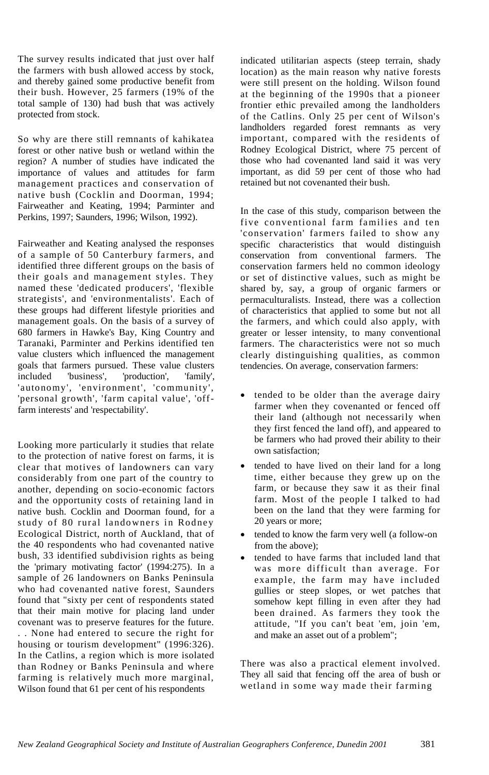The survey results indicated that just over half the farmers with bush allowed access by stock, and thereby gained some productive benefit from their bush. However, 25 farmers (19% of the total sample of 130) had bush that was actively protected from stock.

So why are there still remnants of kahikatea forest or other native bush or wetland within the region? A number of studies have indicated the importance of values and attitudes for farm management practices and conservation of native bush (Cocklin and Doorman, 1994; Fairweather and Keating, 1994; Parminter and Perkins, 1997; Saunders, 1996; Wilson, 1992).

Fairweather and Keating analysed the responses of a sample of 50 Canterbury farmers, and identified three different groups on the basis of their goals and management styles. They named these 'dedicated producers', 'flexible strategists', and 'environmentalists'. Each of these groups had different lifestyle priorities and management goals. On the basis of a survey of 680 farmers in Hawke's Bay, King Country and Taranaki, Parminter and Perkins identified ten value clusters which influenced the management goals that farmers pursued. These value clusters included 'business', 'production', 'family', 'autonomy', 'environment', 'community', 'personal growth', 'farm capital value', 'offfarm interests' and 'respectability'.

Looking more particularly it studies that relate to the protection of native forest on farms, it is clear that motives of landowners can vary considerably from one part of the country to another, depending on socio-economic factors and the opportunity costs of retaining land in native bush. Cocklin and Doorman found, for a study of 80 rural landowners in Rodney Ecological District, north of Auckland, that of the 40 respondents who had covenanted native bush, 33 identified subdivision rights as being the 'primary motivating factor' (1994:275). In a sample of 26 landowners on Banks Peninsula who had covenanted native forest, Saunders found that "sixty per cent of respondents stated that their main motive for placing land under covenant was to preserve features for the future. . . None had entered to secure the right for housing or tourism development" (1996:326). In the Catlins, a region which is more isolated than Rodney or Banks Peninsula and where farming is relatively much more marginal, Wilson found that 61 per cent of his respondents

indicated utilitarian aspects (steep terrain, shady location) as the main reason why native forests were still present on the holding. Wilson found at the beginning of the 1990s that a pioneer frontier ethic prevailed among the landholders of the Catlins. Only 25 per cent of Wilson's landholders regarded forest remnants as very important, compared with the residents of Rodney Ecological District, where 75 percent of those who had covenanted land said it was very important, as did 59 per cent of those who had retained but not covenanted their bush.

In the case of this study, comparison between the five conventional farm families and ten 'conservation' farmers failed to show any specific characteristics that would distinguish conservation from conventional farmers. The conservation farmers held no common ideology or set of distinctive values, such as might be shared by, say, a group of organic farmers or permaculturalists. Instead, there was a collection of characteristics that applied to some but not all the farmers, and which could also apply, with greater or lesser intensity, to many conventional farmers. The characteristics were not so much clearly distinguishing qualities, as common tendencies. On average, conservation farmers:

- tended to be older than the average dairy farmer when they covenanted or fenced off their land (although not necessarily when they first fenced the land off), and appeared to be farmers who had proved their ability to their own satisfaction;
- tended to have lived on their land for a long time, either because they grew up on the farm, or because they saw it as their final farm. Most of the people I talked to had been on the land that they were farming for 20 years or more;
- tended to know the farm very well (a follow-on from the above);
- tended to have farms that included land that was more difficult than average. For example, the farm may have included gullies or steep slopes, or wet patches that somehow kept filling in even after they had been drained. As farmers they took the attitude, "If you can't beat 'em, join 'em, and make an asset out of a problem";

There was also a practical element involved. They all said that fencing off the area of bush or wetland in some way made their farming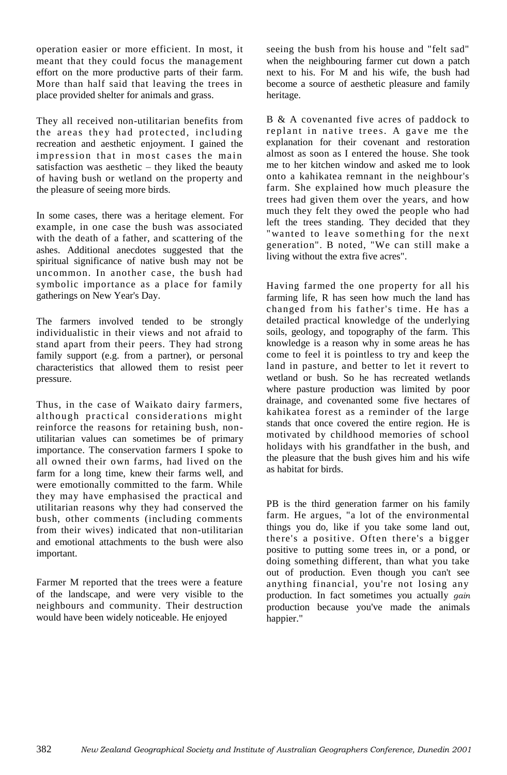operation easier or more efficient. In most, it meant that they could focus the management effort on the more productive parts of their farm. More than half said that leaving the trees in place provided shelter for animals and grass.

They all received non-utilitarian benefits from the areas they had protected, including recreation and aesthetic enjoyment. I gained the impression that in most cases the main satisfaction was aesthetic – they liked the beauty of having bush or wetland on the property and the pleasure of seeing more birds.

In some cases, there was a heritage element. For example, in one case the bush was associated with the death of a father, and scattering of the ashes. Additional anecdotes suggested that the spiritual significance of native bush may not be uncommon. In another case, the bush had symbolic importance as a place for family gatherings on New Year's Day.

The farmers involved tended to be strongly individualistic in their views and not afraid to stand apart from their peers. They had strong family support (e.g. from a partner), or personal characteristics that allowed them to resist peer pressure.

Thus, in the case of Waikato dairy farmers, although practical considerations might reinforce the reasons for retaining bush, nonutilitarian values can sometimes be of primary importance. The conservation farmers I spoke to all owned their own farms, had lived on the farm for a long time, knew their farms well, and were emotionally committed to the farm. While they may have emphasised the practical and utilitarian reasons why they had conserved the bush, other comments (including comments from their wives) indicated that non-utilitarian and emotional attachments to the bush were also important.

Farmer M reported that the trees were a feature of the landscape, and were very visible to the neighbours and community. Their destruction would have been widely noticeable. He enjoyed

seeing the bush from his house and "felt sad" when the neighbouring farmer cut down a patch next to his. For M and his wife, the bush had become a source of aesthetic pleasure and family heritage.

B & A covenanted five acres of paddock to replant in native trees. A gave me the explanation for their covenant and restoration almost as soon as I entered the house. She took me to her kitchen window and asked me to look onto a kahikatea remnant in the neighbour's farm. She explained how much pleasure the trees had given them over the years, and how much they felt they owed the people who had left the trees standing. They decided that they "wanted to leave something for the next generation". B noted, "We can still make a living without the extra five acres".

Having farmed the one property for all his farming life, R has seen how much the land has changed from his father's time. He has a detailed practical knowledge of the underlying soils, geology, and topography of the farm. This knowledge is a reason why in some areas he has come to feel it is pointless to try and keep the land in pasture, and better to let it revert to wetland or bush. So he has recreated wetlands where pasture production was limited by poor drainage, and covenanted some five hectares of kahikatea forest as a reminder of the large stands that once covered the entire region. He is motivated by childhood memories of school holidays with his grandfather in the bush, and the pleasure that the bush gives him and his wife as habitat for birds.

PB is the third generation farmer on his family farm. He argues, "a lot of the environmental things you do, like if you take some land out, there's a positive. Often there's a bigger positive to putting some trees in, or a pond, or doing something different, than what you take out of production. Even though you can't see anything financial, you're not losing any production. In fact sometimes you actually *gain*  production because you've made the animals happier."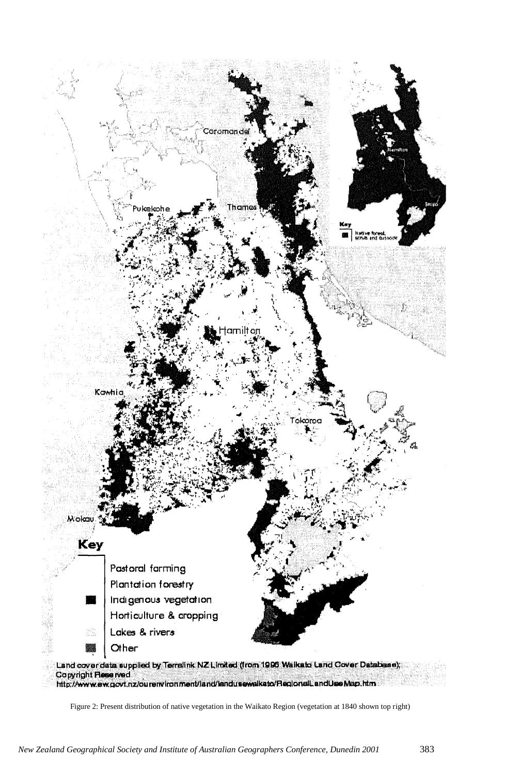

http://www.ew.govt.nz/ourenvironment/land/landusewalkato/RegionalLandUseMap.htm

Figure 2: Present distribution of native vegetation in the Waikato Region (vegetation at 1840 shown top right)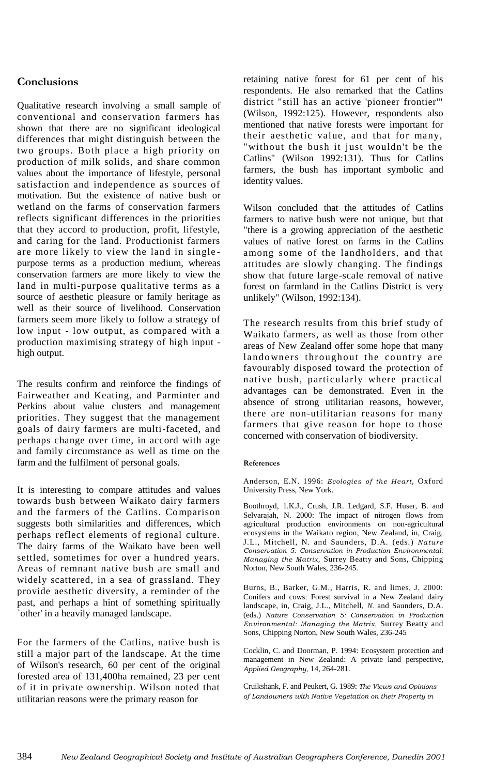# **Conclusions**

Qualitative research involving a small sample of conventional and conservation farmers has shown that there are no significant ideological differences that might distinguish between the two groups. Both place a high priority on production of milk solids, and share common values about the importance of lifestyle, personal satisfaction and independence as sources of motivation. But the existence of native bush or wetland on the farms of conservation farmers reflects significant differences in the priorities that they accord to production, profit, lifestyle, and caring for the land. Productionist farmers are more likely to view the land in single purpose terms as a production medium, whereas conservation farmers are more likely to view the land in multi-purpose qualitative terms as a source of aesthetic pleasure or family heritage as well as their source of livelihood. Conservation farmers seem more likely to follow a strategy of low input - low output, as compared with a production maximising strategy of high input high output.

The results confirm and reinforce the findings of Fairweather and Keating, and Parminter and Perkins about value clusters and management priorities. They suggest that the management goals of dairy farmers are multi-faceted, and perhaps change over time, in accord with age and family circumstance as well as time on the farm and the fulfilment of personal goals.

It is interesting to compare attitudes and values towards bush between Waikato dairy farmers and the farmers of the Catlins. Comparison suggests both similarities and differences, which perhaps reflect elements of regional culture. The dairy farms of the Waikato have been well settled, sometimes for over a hundred years. Areas of remnant native bush are small and widely scattered, in a sea of grassland. They provide aesthetic diversity, a reminder of the past, and perhaps a hint of something spiritually `other' in a heavily managed landscape.

For the farmers of the Catlins, native bush is still a major part of the landscape. At the time of Wilson's research, 60 per cent of the original forested area of 131,400ha remained, 23 per cent of it in private ownership. Wilson noted that utilitarian reasons were the primary reason for

retaining native forest for 61 per cent of his respondents. He also remarked that the Catlins district "still has an active 'pioneer frontier'" (Wilson, 1992:125). However, respondents also mentioned that native forests were important for their aesthetic value, and that for many, "without the bush it just wouldn't be the Catlins" (Wilson 1992:131). Thus for Catlins farmers, the bush has important symbolic and identity values.

Wilson concluded that the attitudes of Catlins farmers to native bush were not unique, but that "there is a growing appreciation of the aesthetic values of native forest on farms in the Catlins among some of the landholders, and that attitudes are slowly changing. The findings show that future large-scale removal of native forest on farmland in the Catlins District is very unlikely" (Wilson, 1992:134).

The research results from this brief study of Waikato farmers, as well as those from other areas of New Zealand offer some hope that many landowners throughout the country are favourably disposed toward the protection of native bush, particularly where practical advantages can be demonstrated. Even in the absence of strong utilitarian reasons, however, there are non-utilitarian reasons for many farmers that give reason for hope to those concerned with conservation of biodiversity.

#### **References**

Anderson, E.N. 1996: *Ecologies of the Heart,* Oxford University Press, New York.

Boothroyd, 1.K.J., Crush, J.R. Ledgard, S.F. Huser, B. and Selvarajah, N. 2000: The impact of nitrogen flows from agricultural production environments on non-agricultural ecosystems in the Waikato region, New Zealand, in, Craig, J.L., Mitchell, N. and Saunders, D.A. (eds.) *Nature Conservation 5: Conservation in Production Environmental: Managing the Matrix,* Surrey Beatty and Sons, Chipping Norton, New South Wales, 236-245.

Burns, B., Barker, G.M., Harris, R. and limes, J. 2000: Conifers and cows: Forest survival in a New Zealand dairy landscape, in, Craig, J.L., Mitchell, *N.* and Saunders, D.A. (eds.) *Nature Conservation 5: Conservation in Production Environmental: Managing the Matrix,* Surrey Beatty and Sons, Chipping Norton, New South Wales, 236-245

Cocklin, C. and Doorman, P. 1994: Ecosystem protection and management in New Zealand: A private land perspective, *Applied Geography,* 14, 264-281.

Cruikshank, F. and Peukert, G. 1989: *The Views and Opinions of Landowners with Native Vegetation on their Property in*